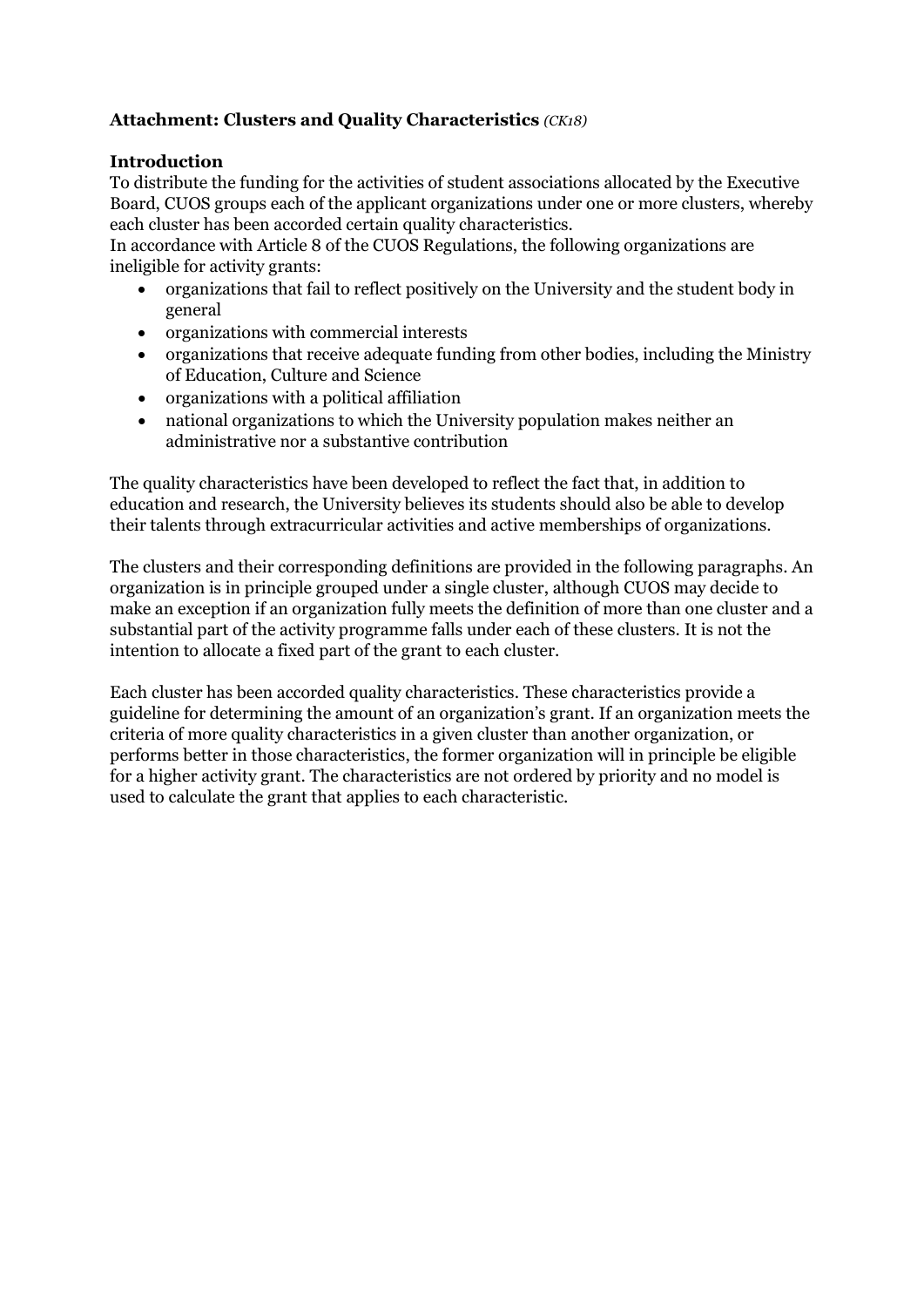## **Attachment: Clusters and Quality Characteristics** *(CK18)*

#### **Introduction**

To distribute the funding for the activities of student associations allocated by the Executive Board, CUOS groups each of the applicant organizations under one or more clusters, whereby each cluster has been accorded certain quality characteristics.

In accordance with Article 8 of the CUOS Regulations, the following organizations are ineligible for activity grants:

- organizations that fail to reflect positively on the University and the student body in general
- organizations with commercial interests
- organizations that receive adequate funding from other bodies, including the Ministry of Education, Culture and Science
- organizations with a political affiliation
- national organizations to which the University population makes neither an administrative nor a substantive contribution

The quality characteristics have been developed to reflect the fact that, in addition to education and research, the University believes its students should also be able to develop their talents through extracurricular activities and active memberships of organizations.

The clusters and their corresponding definitions are provided in the following paragraphs. An organization is in principle grouped under a single cluster, although CUOS may decide to make an exception if an organization fully meets the definition of more than one cluster and a substantial part of the activity programme falls under each of these clusters. It is not the intention to allocate a fixed part of the grant to each cluster.

Each cluster has been accorded quality characteristics. These characteristics provide a guideline for determining the amount of an organization's grant. If an organization meets the criteria of more quality characteristics in a given cluster than another organization, or performs better in those characteristics, the former organization will in principle be eligible for a higher activity grant. The characteristics are not ordered by priority and no model is used to calculate the grant that applies to each characteristic.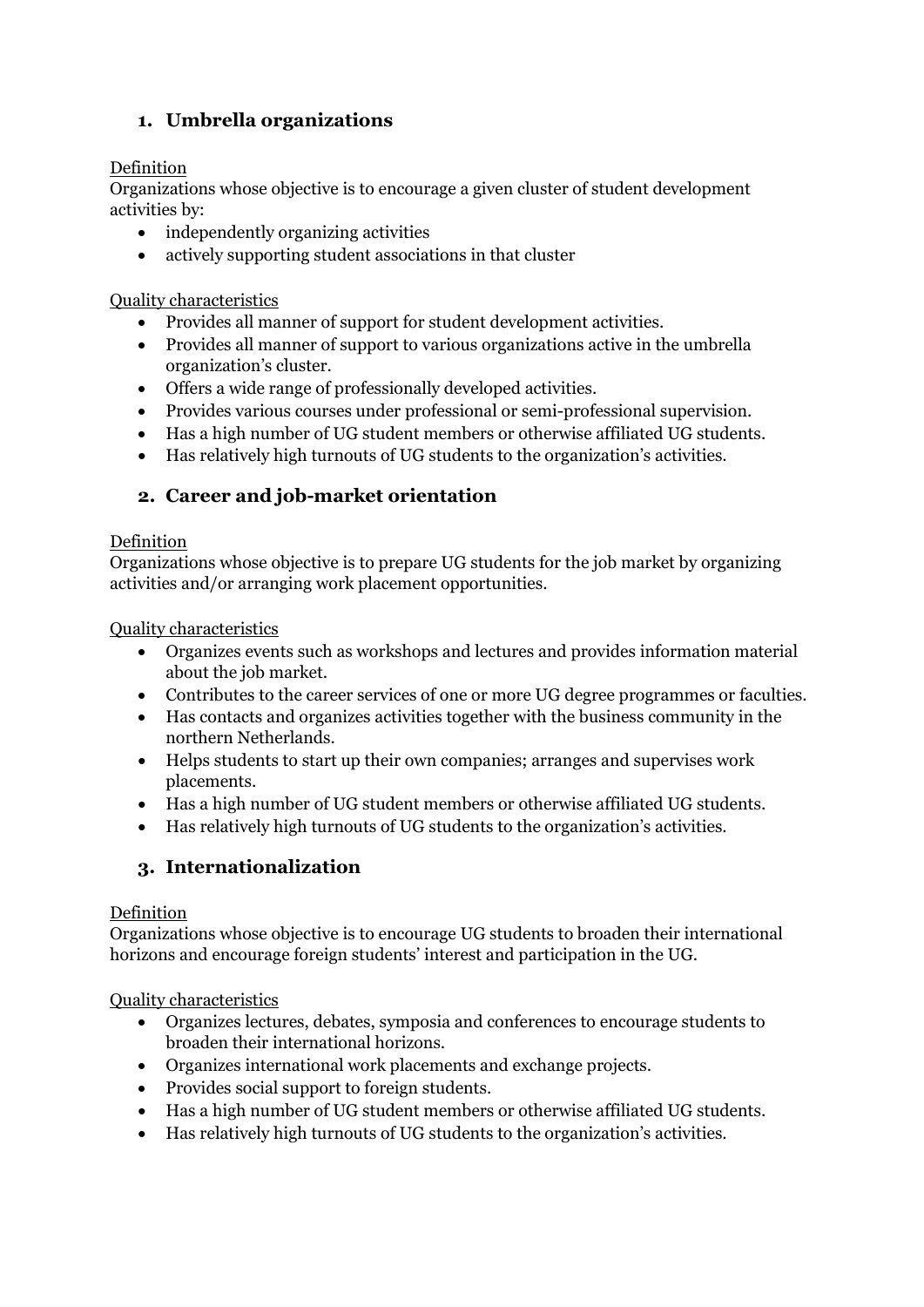# **1. Umbrella organizations**

## Definition

Organizations whose objective is to encourage a given cluster of student development activities by:

- independently organizing activities
- actively supporting student associations in that cluster

Quality characteristics

- Provides all manner of support for student development activities.
- Provides all manner of support to various organizations active in the umbrella organization's cluster.
- Offers a wide range of professionally developed activities.
- Provides various courses under professional or semi-professional supervision.
- Has a high number of UG student members or otherwise affiliated UG students.
- Has relatively high turnouts of UG students to the organization's activities.

## **2. Career and job-market orientation**

#### Definition

Organizations whose objective is to prepare UG students for the job market by organizing activities and/or arranging work placement opportunities.

#### Quality characteristics

- Organizes events such as workshops and lectures and provides information material about the job market.
- Contributes to the career services of one or more UG degree programmes or faculties.
- Has contacts and organizes activities together with the business community in the northern Netherlands.
- Helps students to start up their own companies; arranges and supervises work placements.
- Has a high number of UG student members or otherwise affiliated UG students.
- Has relatively high turnouts of UG students to the organization's activities.

# **3. Internationalization**

#### Definition

Organizations whose objective is to encourage UG students to broaden their international horizons and encourage foreign students' interest and participation in the UG.

Quality characteristics

- Organizes lectures, debates, symposia and conferences to encourage students to broaden their international horizons.
- Organizes international work placements and exchange projects.
- Provides social support to foreign students.
- Has a high number of UG student members or otherwise affiliated UG students.
- Has relatively high turnouts of UG students to the organization's activities.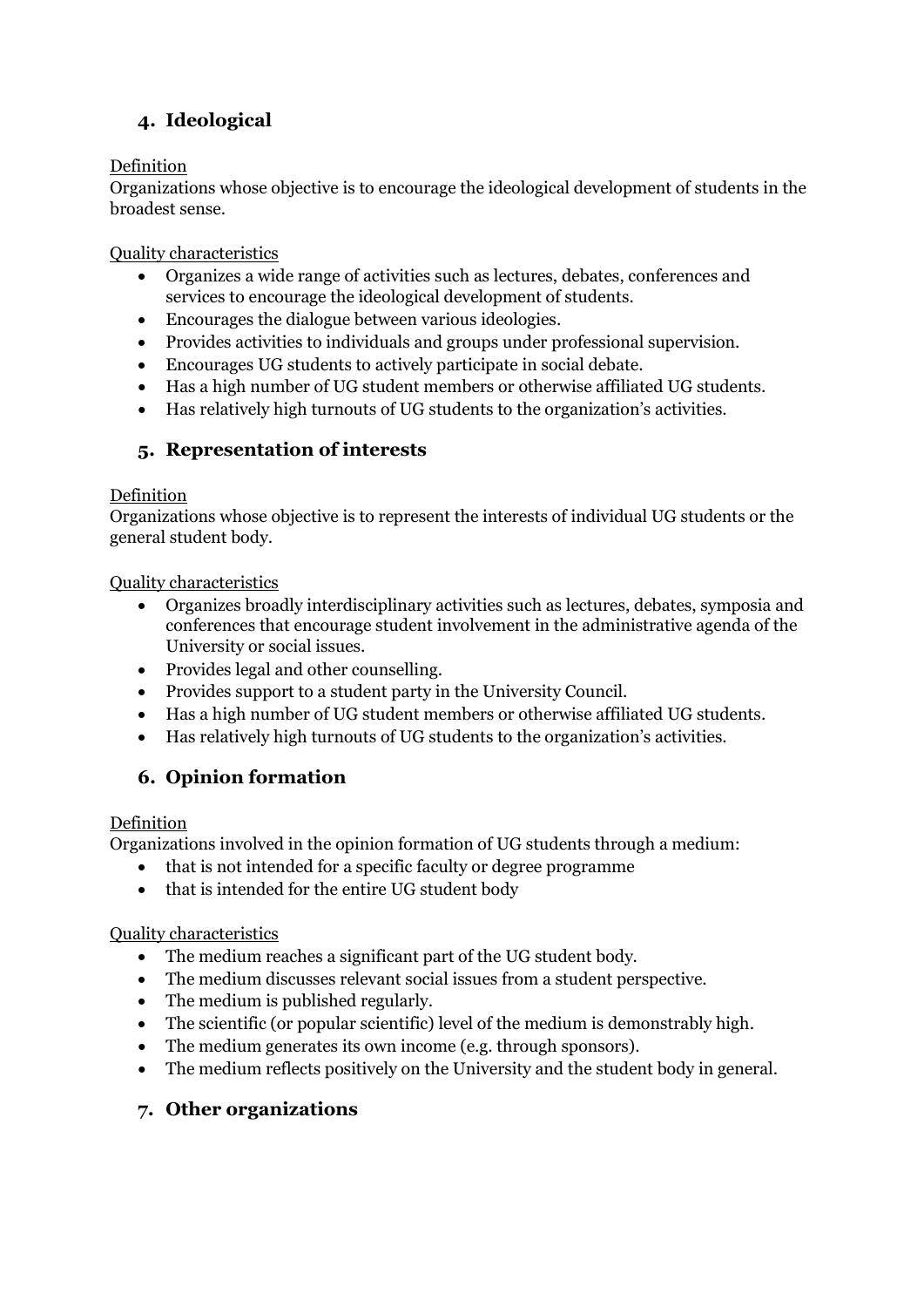# **4. Ideological**

#### Definition

Organizations whose objective is to encourage the ideological development of students in the broadest sense.

Quality characteristics

- Organizes a wide range of activities such as lectures, debates, conferences and services to encourage the ideological development of students.
- Encourages the dialogue between various ideologies.
- Provides activities to individuals and groups under professional supervision.
- Encourages UG students to actively participate in social debate.
- Has a high number of UG student members or otherwise affiliated UG students.
- Has relatively high turnouts of UG students to the organization's activities.

## **5. Representation of interests**

#### Definition

Organizations whose objective is to represent the interests of individual UG students or the general student body.

#### Quality characteristics

- Organizes broadly interdisciplinary activities such as lectures, debates, symposia and conferences that encourage student involvement in the administrative agenda of the University or social issues.
- Provides legal and other counselling.
- Provides support to a student party in the University Council.
- Has a high number of UG student members or otherwise affiliated UG students.
- Has relatively high turnouts of UG students to the organization's activities.

# **6. Opinion formation**

#### Definition

Organizations involved in the opinion formation of UG students through a medium:

- that is not intended for a specific faculty or degree programme
- that is intended for the entire UG student body

#### Quality characteristics

- The medium reaches a significant part of the UG student body.
- The medium discusses relevant social issues from a student perspective.
- The medium is published regularly.
- The scientific (or popular scientific) level of the medium is demonstrably high.
- The medium generates its own income (e.g. through sponsors).
- The medium reflects positively on the University and the student body in general.

## **7. Other organizations**